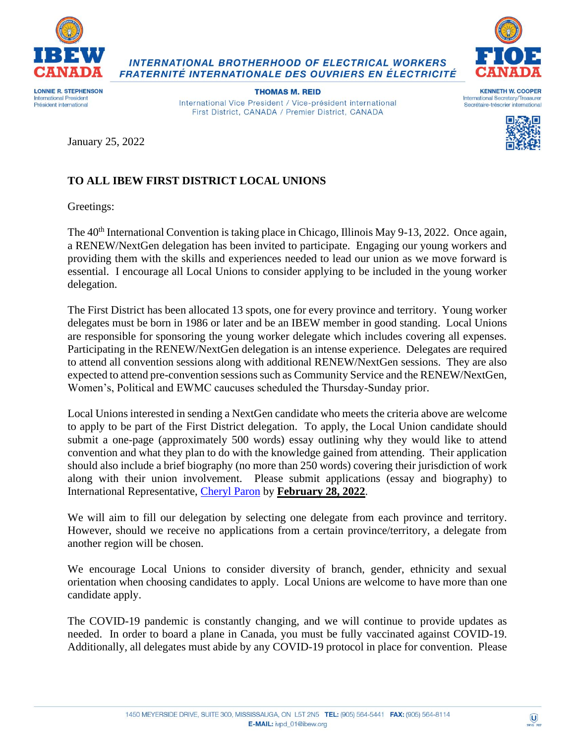

**INTERNATIONAL BROTHERHOOD OF ELECTRICAL WORKERS** FRATERNITÉ INTERNATIONALE DES OUVRIERS EN ÉLECTRICITÉ



Président international

**THOMAS M. REID** International Vice President / Vice-président international First District, CANADA / Premier District, CANADA





January 25, 2022

## **TO ALL IBEW FIRST DISTRICT LOCAL UNIONS**

Greetings:

The 40<sup>th</sup> International Convention is taking place in Chicago, Illinois May 9-13, 2022. Once again, a RENEW/NextGen delegation has been invited to participate. Engaging our young workers and providing them with the skills and experiences needed to lead our union as we move forward is essential. I encourage all Local Unions to consider applying to be included in the young worker delegation.

The First District has been allocated 13 spots, one for every province and territory. Young worker delegates must be born in 1986 or later and be an IBEW member in good standing. Local Unions are responsible for sponsoring the young worker delegate which includes covering all expenses. Participating in the RENEW/NextGen delegation is an intense experience. Delegates are required to attend all convention sessions along with additional RENEW/NextGen sessions. They are also expected to attend pre-convention sessions such as Community Service and the RENEW/NextGen, Women's, Political and EWMC caucuses scheduled the Thursday-Sunday prior.

Local Unions interested in sending a NextGen candidate who meets the criteria above are welcome to apply to be part of the First District delegation. To apply, the Local Union candidate should submit a one-page (approximately 500 words) essay outlining why they would like to attend convention and what they plan to do with the knowledge gained from attending. Their application should also include a brief biography (no more than 250 words) covering their jurisdiction of work along with their union involvement. Please submit applications (essay and biography) to International Representative, [Cheryl Paron](mailto:cheryl_paron@ibew.org) by **February 28, 2022**.

We will aim to fill our delegation by selecting one delegate from each province and territory. However, should we receive no applications from a certain province/territory, a delegate from another region will be chosen.

We encourage Local Unions to consider diversity of branch, gender, ethnicity and sexual orientation when choosing candidates to apply. Local Unions are welcome to have more than one candidate apply.

The COVID-19 pandemic is constantly changing, and we will continue to provide updates as needed. In order to board a plane in Canada, you must be fully vaccinated against COVID-19. Additionally, all delegates must abide by any COVID-19 protocol in place for convention. Please